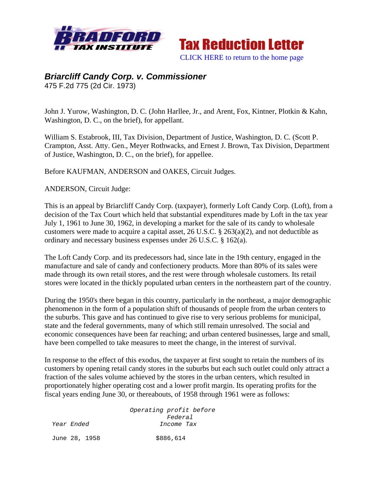



# *Briarcliff Candy Corp. v. Commissioner*

475 F.2d 775 (2d Cir. 1973)

John J. Yurow, Washington, D. C. (John Harllee, Jr., and Arent, Fox, Kintner, Plotkin & Kahn, Washington, D. C., on the brief), for appellant.

William S. Estabrook, III, Tax Division, Department of Justice, Washington, D. C. (Scott P. Crampton, Asst. Atty. Gen., Meyer Rothwacks, and Ernest J. Brown, Tax Division, Department of Justice, Washington, D. C., on the brief), for appellee.

Before KAUFMAN, ANDERSON and OAKES, Circuit Judges.

ANDERSON, Circuit Judge:

This is an appeal by Briarcliff Candy Corp. (taxpayer), formerly Loft Candy Corp. (Loft), from a decision of the Tax Court which held that substantial expenditures made by Loft in the tax year July 1, 1961 to June 30, 1962, in developing a market for the sale of its candy to wholesale customers were made to acquire a capital asset, 26 U.S.C. § 263(a)(2), and not deductible as ordinary and necessary business expenses under 26 U.S.C. § 162(a).

The Loft Candy Corp. and its predecessors had, since late in the 19th century, engaged in the manufacture and sale of candy and confectionery products. More than 80% of its sales were made through its own retail stores, and the rest were through wholesale customers. Its retail stores were located in the thickly populated urban centers in the northeastern part of the country.

During the 1950's there began in this country, particularly in the northeast, a major demographic phenomenon in the form of a population shift of thousands of people from the urban centers to the suburbs. This gave and has continued to give rise to very serious problems for municipal, state and the federal governments, many of which still remain unresolved. The social and economic consequences have been far reaching; and urban centered businesses, large and small, have been compelled to take measures to meet the change, in the interest of survival.

In response to the effect of this exodus, the taxpayer at first sought to retain the numbers of its customers by opening retail candy stores in the suburbs but each such outlet could only attract a fraction of the sales volume achieved by the stores in the urban centers, which resulted in proportionately higher operating cost and a lower profit margin. Its operating profits for the fiscal years ending June 30, or thereabouts, of 1958 through 1961 were as follows:

 *Operating profit before Federal Year Ended Income Tax*  June 28, 1958 \$886,614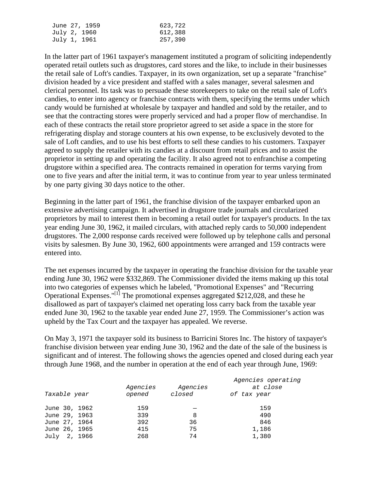| June 27, 1959 | 623,722 |
|---------------|---------|
| July 2, 1960  | 612,388 |
| July 1, 1961  | 257,390 |

In the latter part of 1961 taxpayer's management instituted a program of soliciting independently operated retail outlets such as drugstores, card stores and the like, to include in their businesses the retail sale of Loft's candies. Taxpayer, in its own organization, set up a separate "franchise" division headed by a vice president and staffed with a sales manager, several salesmen and clerical personnel. Its task was to persuade these storekeepers to take on the retail sale of Loft's candies, to enter into agency or franchise contracts with them, specifying the terms under which candy would be furnished at wholesale by taxpayer and handled and sold by the retailer, and to see that the contracting stores were properly serviced and had a proper flow of merchandise. In each of these contracts the retail store proprietor agreed to set aside a space in the store for refrigerating display and storage counters at his own expense, to be exclusively devoted to the sale of Loft candies, and to use his best efforts to sell these candies to his customers. Taxpayer agreed to supply the retailer with its candies at a discount from retail prices and to assist the proprietor in setting up and operating the facility. It also agreed not to enfranchise a competing drugstore within a specified area. The contracts remained in operation for terms varying from one to five years and after the initial term, it was to continue from year to year unless terminated by one party giving 30 days notice to the other.

Beginning in the latter part of 1961, the franchise division of the taxpayer embarked upon an extensive advertising campaign. It advertised in drugstore trade journals and circularized proprietors by mail to interest them in becoming a retail outlet for taxpayer's products. In the tax year ending June 30, 1962, it mailed circulars, with attached reply cards to 50,000 independent drugstores. The 2,000 response cards received were followed up by telephone calls and personal visits by salesmen. By June 30, 1962, 600 appointments were arranged and 159 contracts were entered into.

The net expenses incurred by the taxpayer in operating the franchise division for the taxable year ending June 30, 1962 were \$332,869. The Commissioner divided the items making up this total into two categories of expenses which he labeled, "Promotional Expenses" and "Recurring Operational Expenses."[1] The promotional expenses aggregated \$212,028, and these he disallowed as part of taxpayer's claimed net operating loss carry back from the taxable year ended June 30, 1962 to the taxable year ended June 27, 1959. The Commissioner's action was upheld by the Tax Court and the taxpayer has appealed. We reverse.

On May 3, 1971 the taxpayer sold its business to Barricini Stores Inc. The history of taxpayer's franchise division between year ending June 30, 1962 and the date of the sale of the business is significant and of interest. The following shows the agencies opened and closed during each year through June 1968, and the number in operation at the end of each year through June, 1969:

|               |          |          | Agencies operating |
|---------------|----------|----------|--------------------|
|               | Agencies | Agencies | at close           |
| Taxable year  | opened   | closed   | of tax year        |
|               |          |          |                    |
| June 30, 1962 | 159      |          | 159                |
| June 29, 1963 | 339      | 8        | 490                |
| June 27, 1964 | 392      | 36       | 846                |
| June 26, 1965 | 415      | 75       | 1,186              |
| July 2, 1966  | 268      | 74       | 1,380              |
|               |          |          |                    |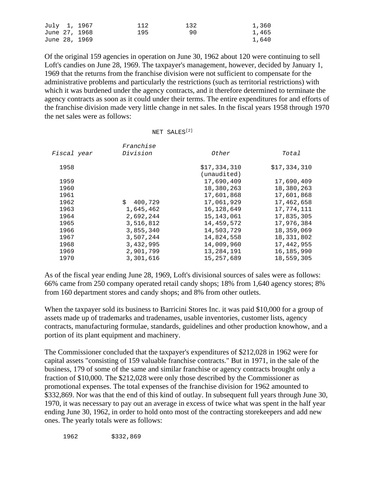|               | July 1, 1967  | 112 | 132 | 1,360 |
|---------------|---------------|-----|-----|-------|
|               | June 27, 1968 | 195 | 90. | 1,465 |
| June 28, 1969 |               |     |     | 1,640 |

Of the original 159 agencies in operation on June 30, 1962 about 120 were continuing to sell Loft's candies on June 28, 1969. The taxpayer's management, however, decided by January 1, 1969 that the returns from the franchise division were not sufficient to compensate for the administrative problems and particularly the restrictions (such as territorial restrictions) with which it was burdened under the agency contracts, and it therefore determined to terminate the agency contracts as soon as it could under their terms. The entire expenditures for and efforts of the franchise division made very little change in net sales. In the fiscal years 1958 through 1970 the net sales were as follows:

|  | NET SALES <sup>[2]</sup> |
|--|--------------------------|
|  |                          |

| Fiscal year | Franchise<br>Division | Other        | Total        |
|-------------|-----------------------|--------------|--------------|
|             |                       |              |              |
| 1958        |                       | \$17,334,310 | \$17,334,310 |
|             |                       | (unaudited)  |              |
| 1959        |                       | 17,690,409   | 17,690,409   |
| 1960        |                       | 18,380,263   | 18,380,263   |
| 1961        |                       | 17,601,868   | 17,601,868   |
| 1962        | Ŝ.<br>400,729         | 17,061,929   | 17,462,658   |
| 1963        | 1,645,462             | 16, 128, 649 | 17,774,111   |
| 1964        | 2,692,244             | 15, 143, 061 | 17,835,305   |
| 1965        | 3,516,812             | 14,459,572   | 17,976,384   |
| 1966        | 3,855,340             | 14,503,729   | 18,359,069   |
| 1967        | 3,507,244             | 14,824,558   | 18,331,802   |
| 1968        | 3,432,995             | 14,009,960   | 17,442,955   |
| 1969        | 2,901,799             | 13,284,191   | 16,185,990   |
| 1970        | 3,301,616             | 15, 257, 689 | 18,559,305   |

As of the fiscal year ending June 28, 1969, Loft's divisional sources of sales were as follows: 66% came from 250 company operated retail candy shops; 18% from 1,640 agency stores; 8% from 160 department stores and candy shops; and 8% from other outlets.

When the taxpayer sold its business to Barricini Stores Inc. it was paid \$10,000 for a group of assets made up of trademarks and tradenames, usable inventories, customer lists, agency contracts, manufacturing formulae, standards, guidelines and other production knowhow, and a portion of its plant equipment and machinery.

The Commissioner concluded that the taxpayer's expenditures of \$212,028 in 1962 were for capital assets "consisting of 159 valuable franchise contracts." But in 1971, in the sale of the business, 179 of some of the same and similar franchise or agency contracts brought only a fraction of \$10,000. The \$212,028 were only those described by the Commissioner as promotional expenses. The total expenses of the franchise division for 1962 amounted to \$332,869. Nor was that the end of this kind of outlay. In subsequent full years through June 30, 1970, it was necessary to pay out an average in excess of twice what was spent in the half year ending June 30, 1962, in order to hold onto most of the contracting storekeepers and add new ones. The yearly totals were as follows:

1962 \$332,869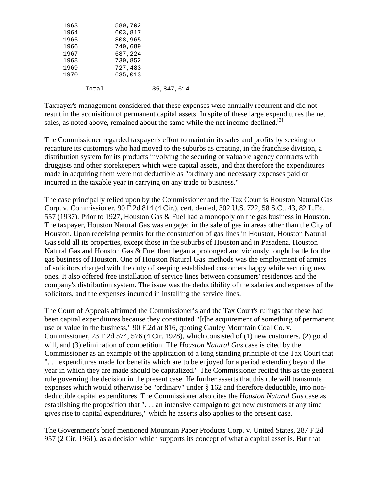| 1963 |       | 580,702 |             |
|------|-------|---------|-------------|
| 1964 |       | 603,817 |             |
| 1965 |       | 808,965 |             |
| 1966 |       | 740,689 |             |
| 1967 |       | 687,224 |             |
| 1968 |       | 730,852 |             |
| 1969 |       | 727,483 |             |
| 1970 |       | 635,013 |             |
|      |       |         |             |
|      | Total |         | \$5,847,614 |
|      |       |         |             |

Taxpayer's management considered that these expenses were annually recurrent and did not result in the acquisition of permanent capital assets. In spite of these large expenditures the net sales, as noted above, remained about the same while the net income declined.<sup>[3]</sup>

The Commissioner regarded taxpayer's effort to maintain its sales and profits by seeking to recapture its customers who had moved to the suburbs as creating, in the franchise division, a distribution system for its products involving the securing of valuable agency contracts with druggists and other storekeepers which were capital assets, and that therefore the expenditures made in acquiring them were not deductible as "ordinary and necessary expenses paid or incurred in the taxable year in carrying on any trade or business."

The case principally relied upon by the Commissioner and the Tax Court is Houston Natural Gas Corp. v. Commissioner, 90 F.2d 814 (4 Cir.), cert. denied, 302 U.S. 722, 58 S.Ct. 43, 82 L.Ed. 557 (1937). Prior to 1927, Houston Gas & Fuel had a monopoly on the gas business in Houston. The taxpayer, Houston Natural Gas was engaged in the sale of gas in areas other than the City of Houston. Upon receiving permits for the construction of gas lines in Houston, Houston Natural Gas sold all its properties, except those in the suburbs of Houston and in Pasadena. Houston Natural Gas and Houston Gas & Fuel then began a prolonged and viciously fought battle for the gas business of Houston. One of Houston Natural Gas' methods was the employment of armies of solicitors charged with the duty of keeping established customers happy while securing new ones. It also offered free installation of service lines between consumers' residences and the company's distribution system. The issue was the deductibility of the salaries and expenses of the solicitors, and the expenses incurred in installing the service lines.

The Court of Appeals affirmed the Commissioner's and the Tax Court's rulings that these had been capital expenditures because they constituted "[t]he acquirement of something of permanent use or value in the business," 90 F.2d at 816, quoting Gauley Mountain Coal Co. v. Commissioner, 23 F.2d 574, 576 (4 Cir. 1928), which consisted of (1) new customers, (2) good will, and (3) elimination of competition. The *Houston Natural Gas* case is cited by the Commissioner as an example of the application of a long standing principle of the Tax Court that ". . . expenditures made for benefits which are to be enjoyed for a period extending beyond the year in which they are made should be capitalized." The Commissioner recited this as the general rule governing the decision in the present case. He further asserts that this rule will transmute expenses which would otherwise be "ordinary" under § 162 and therefore deductible, into nondeductible capital expenditures. The Commissioner also cites the *Houston Natural Gas* case as establishing the proposition that ". . . an intensive campaign to get new customers at any time gives rise to capital expenditures," which he asserts also applies to the present case.

The Government's brief mentioned Mountain Paper Products Corp. v. United States, 287 F.2d 957 (2 Cir. 1961), as a decision which supports its concept of what a capital asset is. But that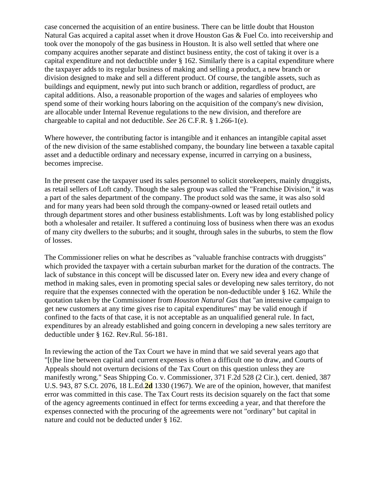case concerned the acquisition of an entire business. There can be little doubt that Houston Natural Gas acquired a capital asset when it drove Houston Gas & Fuel Co. into receivership and took over the monopoly of the gas business in Houston. It is also well settled that where one company acquires another separate and distinct business entity, the cost of taking it over is a capital expenditure and not deductible under § 162. Similarly there is a capital expenditure where the taxpayer adds to its regular business of making and selling a product, a new branch or division designed to make and sell a different product. Of course, the tangible assets, such as buildings and equipment, newly put into such branch or addition, regardless of product, are capital additions. Also, a reasonable proportion of the wages and salaries of employees who spend some of their working hours laboring on the acquisition of the company's new division, are allocable under Internal Revenue regulations to the new division, and therefore are chargeable to capital and not deductible. *See* 26 C.F.R. § 1.266-1(e).

Where however, the contributing factor is intangible and it enhances an intangible capital asset of the new division of the same established company, the boundary line between a taxable capital asset and a deductible ordinary and necessary expense, incurred in carrying on a business, becomes imprecise.

In the present case the taxpayer used its sales personnel to solicit storekeepers, mainly druggists, as retail sellers of Loft candy. Though the sales group was called the "Franchise Division," it was a part of the sales department of the company. The product sold was the same, it was also sold and for many years had been sold through the company-owned or leased retail outlets and through department stores and other business establishments. Loft was by long established policy both a wholesaler and retailer. It suffered a continuing loss of business when there was an exodus of many city dwellers to the suburbs; and it sought, through sales in the suburbs, to stem the flow of losses.

The Commissioner relies on what he describes as "valuable franchise contracts with druggists" which provided the taxpayer with a certain suburban market for the duration of the contracts. The lack of substance in this concept will be discussed later on. Every new idea and every change of method in making sales, even in promoting special sales or developing new sales territory, do not require that the expenses connected with the operation be non-deductible under § 162. While the quotation taken by the Commissioner from *Houston Natural Gas* that "an intensive campaign to get new customers at any time gives rise to capital expenditures" may be valid enough if confined to the facts of that case, it is not acceptable as an unqualified general rule. In fact, expenditures by an already established and going concern in developing a new sales territory are deductible under § 162. Rev.Rul. 56-181.

In reviewing the action of the Tax Court we have in mind that we said several years ago that "[t]he line between capital and current expenses is often a difficult one to draw, and Courts of Appeals should not overturn decisions of the Tax Court on this question unless they are manifestly wrong." Seas Shipping Co. v. Commissioner, 371 F.2d 528 (2 Cir.), cert. denied, 387 U.S. 943, 87 S.Ct. 2076, 18 L.Ed.**2d** 1330 (1967). We are of the opinion, however, that manifest error was committed in this case. The Tax Court rests its decision squarely on the fact that some of the agency agreements continued in effect for terms exceeding a year, and that therefore the expenses connected with the procuring of the agreements were not "ordinary" but capital in nature and could not be deducted under § 162.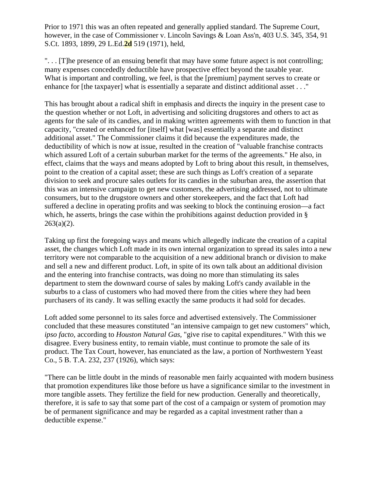Prior to 1971 this was an often repeated and generally applied standard. The Supreme Court, however, in the case of Commissioner v. Lincoln Savings & Loan Ass'n, 403 U.S. 345, 354, 91 S.Ct. 1893, 1899, 29 L.Ed.**2d** 519 (1971), held,

". . . [T]he presence of an ensuing benefit that may have some future aspect is not controlling; many expenses concededly deductible have prospective effect beyond the taxable year. What is important and controlling, we feel, is that the [premium] payment serves to create or enhance for [the taxpayer] what is essentially a separate and distinct additional asset . . ."

This has brought about a radical shift in emphasis and directs the inquiry in the present case to the question whether or not Loft, in advertising and soliciting drugstores and others to act as agents for the sale of its candies, and in making written agreements with them to function in that capacity, "created or enhanced for [itself] what [was] essentially a separate and distinct additional asset." The Commissioner claims it did because the expenditures made, the deductibility of which is now at issue, resulted in the creation of "valuable franchise contracts which assured Loft of a certain suburban market for the terms of the agreements." He also, in effect, claims that the ways and means adopted by Loft to bring about this result, in themselves, point to the creation of a capital asset; these are such things as Loft's creation of a separate division to seek and procure sales outlets for its candies in the suburban area, the assertion that this was an intensive campaign to get new customers, the advertising addressed, not to ultimate consumers, but to the drugstore owners and other storekeepers, and the fact that Loft had suffered a decline in operating profits and was seeking to block the continuing erosion—a fact which, he asserts, brings the case within the prohibitions against deduction provided in §  $263(a)(2)$ .

Taking up first the foregoing ways and means which allegedly indicate the creation of a capital asset, the changes which Loft made in its own internal organization to spread its sales into a new territory were not comparable to the acquisition of a new additional branch or division to make and sell a new and different product. Loft, in spite of its own talk about an additional division and the entering into franchise contracts, was doing no more than stimulating its sales department to stem the downward course of sales by making Loft's candy available in the suburbs to a class of customers who had moved there from the cities where they had been purchasers of its candy. It was selling exactly the same products it had sold for decades.

Loft added some personnel to its sales force and advertised extensively. The Commissioner concluded that these measures constituted "an intensive campaign to get new customers" which, *ipso facto,* according to *Houston Natural Gas,* "give rise to capital expenditures." With this we disagree. Every business entity, to remain viable, must continue to promote the sale of its product. The Tax Court, however, has enunciated as the law, a portion of Northwestern Yeast Co., 5 B. T.A. 232, 237 (1926), which says:

"There can be little doubt in the minds of reasonable men fairly acquainted with modern business that promotion expenditures like those before us have a significance similar to the investment in more tangible assets. They fertilize the field for new production. Generally and theoretically, therefore, it is safe to say that some part of the cost of a campaign or system of promotion may be of permanent significance and may be regarded as a capital investment rather than a deductible expense."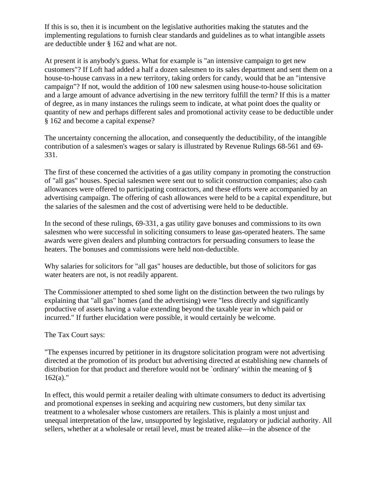If this is so, then it is incumbent on the legislative authorities making the statutes and the implementing regulations to furnish clear standards and guidelines as to what intangible assets are deductible under § 162 and what are not.

At present it is anybody's guess. What for example is "an intensive campaign to get new customers"? If Loft had added a half a dozen salesmen to its sales department and sent them on a house-to-house canvass in a new territory, taking orders for candy, would that be an "intensive campaign"? If not, would the addition of 100 new salesmen using house-to-house solicitation and a large amount of advance advertising in the new territory fulfill the term? If this is a matter of degree, as in many instances the rulings seem to indicate, at what point does the quality or quantity of new and perhaps different sales and promotional activity cease to be deductible under § 162 and become a capital expense?

The uncertainty concerning the allocation, and consequently the deductibility, of the intangible contribution of a salesmen's wages or salary is illustrated by Revenue Rulings 68-561 and 69- 331.

The first of these concerned the activities of a gas utility company in promoting the construction of "all gas" houses. Special salesmen were sent out to solicit construction companies; also cash allowances were offered to participating contractors, and these efforts were accompanied by an advertising campaign. The offering of cash allowances were held to be a capital expenditure, but the salaries of the salesmen and the cost of advertising were held to be deductible.

In the second of these rulings, 69-331, a gas utility gave bonuses and commissions to its own salesmen who were successful in soliciting consumers to lease gas-operated heaters. The same awards were given dealers and plumbing contractors for persuading consumers to lease the heaters. The bonuses and commissions were held non-deductible.

Why salaries for solicitors for "all gas" houses are deductible, but those of solicitors for gas water heaters are not, is not readily apparent.

The Commissioner attempted to shed some light on the distinction between the two rulings by explaining that "all gas" homes (and the advertising) were "less directly and significantly productive of assets having a value extending beyond the taxable year in which paid or incurred." If further elucidation were possible, it would certainly be welcome.

### The Tax Court says:

"The expenses incurred by petitioner in its drugstore solicitation program were not advertising directed at the promotion of its product but advertising directed at establishing new channels of distribution for that product and therefore would not be `ordinary' within the meaning of §  $162(a)$ ."

In effect, this would permit a retailer dealing with ultimate consumers to deduct its advertising and promotional expenses in seeking and acquiring new customers, but deny similar tax treatment to a wholesaler whose customers are retailers. This is plainly a most unjust and unequal interpretation of the law, unsupported by legislative, regulatory or judicial authority. All sellers, whether at a wholesale or retail level, must be treated alike—in the absence of the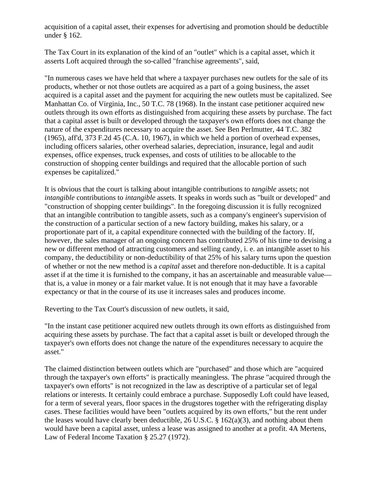acquisition of a capital asset, their expenses for advertising and promotion should be deductible under § 162.

The Tax Court in its explanation of the kind of an "outlet" which is a capital asset, which it asserts Loft acquired through the so-called "franchise agreements", said,

"In numerous cases we have held that where a taxpayer purchases new outlets for the sale of its products, whether or not those outlets are acquired as a part of a going business, the asset acquired is a capital asset and the payment for acquiring the new outlets must be capitalized. See Manhattan Co. of Virginia, Inc., 50 T.C. 78 (1968). In the instant case petitioner acquired new outlets through its own efforts as distinguished from acquiring these assets by purchase. The fact that a capital asset is built or developed through the taxpayer's own efforts does not change the nature of the expenditures necessary to acquire the asset. See Ben Perlmutter, 44 T.C. 382 (1965), aff'd, 373 F.2d 45 (C.A. 10, 1967), in which we held a portion of overhead expenses, including officers salaries, other overhead salaries, depreciation, insurance, legal and audit expenses, office expenses, truck expenses, and costs of utilities to be allocable to the construction of shopping center buildings and required that the allocable portion of such expenses be capitalized."

It is obvious that the court is talking about intangible contributions to *tangible* assets; not *intangible* contributions to *intangible* assets. It speaks in words such as "built or developed" and "construction of shopping center buildings". In the foregoing discussion it is fully recognized that an intangible contribution to tangible assets, such as a company's engineer's supervision of the construction of a particular section of a new factory building, makes his salary, or a proportionate part of it, a capital expenditure connected with the building of the factory. If, however, the sales manager of an ongoing concern has contributed 25% of his time to devising a new or different method of attracting customers and selling candy, i. e. an intangible asset to his company, the deductibility or non-deductibility of that 25% of his salary turns upon the question of whether or not the new method is a *capital* asset and therefore non-deductible. It is a capital asset if at the time it is furnished to the company, it has an ascertainable and measurable value that is, a value in money or a fair market value. It is not enough that it may have a favorable expectancy or that in the course of its use it increases sales and produces income.

Reverting to the Tax Court's discussion of new outlets, it said,

"In the instant case petitioner acquired new outlets through its own efforts as distinguished from acquiring these assets by purchase. The fact that a capital asset is built or developed through the taxpayer's own efforts does not change the nature of the expenditures necessary to acquire the asset."

The claimed distinction between outlets which are "purchased" and those which are "acquired through the taxpayer's own efforts" is practically meaningless. The phrase "acquired through the taxpayer's own efforts" is not recognized in the law as descriptive of a particular set of legal relations or interests. It certainly could embrace a purchase. Supposedly Loft could have leased, for a term of several years, floor spaces in the drugstores together with the refrigerating display cases. These facilities would have been "outlets acquired by its own efforts," but the rent under the leases would have clearly been deductible, 26 U.S.C. § 162(a)(3), and nothing about them would have been a capital asset, unless a lease was assigned to another at a profit. 4A Mertens, Law of Federal Income Taxation § 25.27 (1972).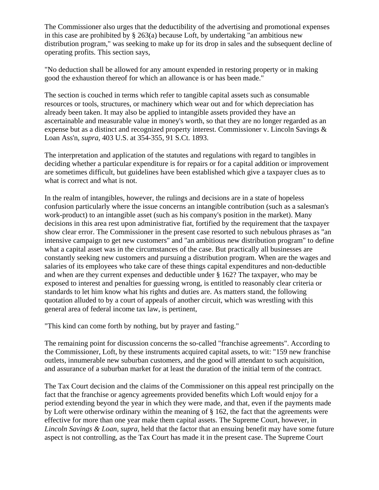The Commissioner also urges that the deductibility of the advertising and promotional expenses in this case are prohibited by § 263(a) because Loft, by undertaking "an ambitious new distribution program," was seeking to make up for its drop in sales and the subsequent decline of operating profits. This section says,

"No deduction shall be allowed for any amount expended in restoring property or in making good the exhaustion thereof for which an allowance is or has been made."

The section is couched in terms which refer to tangible capital assets such as consumable resources or tools, structures, or machinery which wear out and for which depreciation has already been taken. It may also be applied to intangible assets provided they have an ascertainable and measurable value in money's worth, so that they are no longer regarded as an expense but as a distinct and recognized property interest. Commissioner v. Lincoln Savings & Loan Ass'n, *supra,* 403 U.S. at 354-355, 91 S.Ct. 1893.

The interpretation and application of the statutes and regulations with regard to tangibles in deciding whether a particular expenditure is for repairs or for a capital addition or improvement are sometimes difficult, but guidelines have been established which give a taxpayer clues as to what is correct and what is not.

In the realm of intangibles, however, the rulings and decisions are in a state of hopeless confusion particularly where the issue concerns an intangible contribution (such as a salesman's work-product) to an intangible asset (such as his company's position in the market). Many decisions in this area rest upon administrative fiat, fortified by the requirement that the taxpayer show clear error. The Commissioner in the present case resorted to such nebulous phrases as "an intensive campaign to get new customers" and "an ambitious new distribution program" to define what a capital asset was in the circumstances of the case. But practically all businesses are constantly seeking new customers and pursuing a distribution program. When are the wages and salaries of its employees who take care of these things capital expenditures and non-deductible and when are they current expenses and deductible under § 162? The taxpayer, who may be exposed to interest and penalties for guessing wrong, is entitled to reasonably clear criteria or standards to let him know what his rights and duties are. As matters stand, the following quotation alluded to by a court of appeals of another circuit, which was wrestling with this general area of federal income tax law, is pertinent,

"This kind can come forth by nothing, but by prayer and fasting."

The remaining point for discussion concerns the so-called "franchise agreements". According to the Commissioner, Loft, by these instruments acquired capital assets, to wit: "159 new franchise outlets, innumerable new suburban customers, and the good will attendant to such acquisition, and assurance of a suburban market for at least the duration of the initial term of the contract.

The Tax Court decision and the claims of the Commissioner on this appeal rest principally on the fact that the franchise or agency agreements provided benefits which Loft would enjoy for a period extending beyond the year in which they were made, and that, even if the payments made by Loft were otherwise ordinary within the meaning of § 162, the fact that the agreements were effective for more than one year make them capital assets. The Supreme Court, however, in *Lincoln Savings & Loan, supra,* held that the factor that an ensuing benefit may have some future aspect is not controlling, as the Tax Court has made it in the present case. The Supreme Court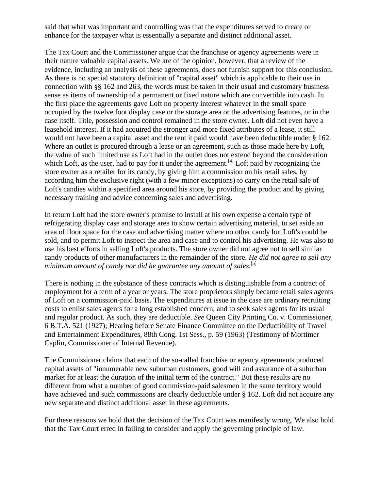said that what was important and controlling was that the expenditures served to create or enhance for the taxpayer what is essentially a separate and distinct additional asset.

The Tax Court and the Commissioner argue that the franchise or agency agreements were in their nature valuable capital assets. We are of the opinion, however, that a review of the evidence, including an analysis of these agreements, does not furnish support for this conclusion. As there is no special statutory definition of "capital asset" which is applicable to their use in connection with §§ 162 and 263, the words must be taken in their usual and customary business sense as items of ownership of a permanent or fixed nature which are convertible into cash. In the first place the agreements gave Loft no property interest whatever in the small space occupied by the twelve foot display case or the storage area or the advertising features, or in the case itself. Title, possession and control remained in the store owner. Loft did not even have a leasehold interest. If it had acquired the stronger and more fixed attributes of a lease, it still would not have been a capital asset and the rent it paid would have been deductible under § 162. Where an outlet is procured through a lease or an agreement, such as those made here by Loft, the value of such limited use as Loft had in the outlet does not extend beyond the consideration which Loft, as the user, had to pay for it under the agreement.<sup>[4]</sup> Loft paid by recognizing the store owner as a retailer for its candy, by giving him a commission on his retail sales, by according him the exclusive right (with a few minor exceptions) to carry on the retail sale of Loft's candies within a specified area around his store, by providing the product and by giving necessary training and advice concerning sales and advertising.

In return Loft had the store owner's promise to install at his own expense a certain type of refrigerating display case and storage area to show certain advertising material, to set aside an area of floor space for the case and advertising matter where no other candy but Loft's could be sold, and to permit Loft to inspect the area and case and to control his advertising. He was also to use his best efforts in selling Loft's products. The store owner did not agree not to sell similar candy products of other manufacturers in the remainder of the store. *He did not agree to sell any*  minimum amount of candy nor did he guarantee any amount of sales.<sup>[5]</sup>

There is nothing in the substance of these contracts which is distinguishable from a contract of employment for a term of a year or years. The store proprietors simply became retail sales agents of Loft on a commission-paid basis. The expenditures at issue in the case are ordinary recruiting costs to enlist sales agents for a long established concern, and to seek sales agents for its usual and regular product. As such, they are deductible. *See* Queen City Printing Co. v. Commissioner, 6 B.T.A. 521 (1927); Hearing before Senate Finance Committee on the Deductibility of Travel and Entertainment Expenditures, 88th Cong. 1st Sess., p. 59 (1963) (Testimony of Mortimer Caplin, Commissioner of Internal Revenue).

The Commissioner claims that each of the so-called franchise or agency agreements produced capital assets of "innumerable new suburban customers, good will and assurance of a suburban market for at least the duration of the initial term of the contract." But these results are no different from what a number of good commission-paid salesmen in the same territory would have achieved and such commissions are clearly deductible under § 162. Loft did not acquire any new separate and distinct additional asset in these agreements.

For these reasons we hold that the decision of the Tax Court was manifestly wrong. We also hold that the Tax Court erred in failing to consider and apply the governing principle of law.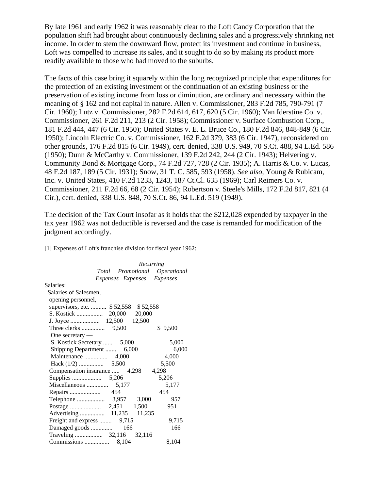By late 1961 and early 1962 it was reasonably clear to the Loft Candy Corporation that the population shift had brought about continuously declining sales and a progressively shrinking net income. In order to stem the downward flow, protect its investment and continue in business, Loft was compelled to increase its sales, and it sought to do so by making its product more readily available to those who had moved to the suburbs.

The facts of this case bring it squarely within the long recognized principle that expenditures for the protection of an existing investment or the continuation of an existing business or the preservation of existing income from loss or diminution, are ordinary and necessary within the meaning of § 162 and not capital in nature. Allen v. Commissioner, 283 F.2d 785, 790-791 (7 Cir. 1960); Lutz v. Commissioner, 282 F.2d 614, 617, 620 (5 Cir. 1960); Van Iderstine Co. v. Commissioner, 261 F.2d 211, 213 (2 Cir. 1958); Commissioner v. Surface Combustion Corp., 181 F.2d 444, 447 (6 Cir. 1950); United States v. E. L. Bruce Co., 180 F.2d 846, 848-849 (6 Cir. 1950); Lincoln Electric Co. v. Commissioner, 162 F.2d 379, 383 (6 Cir. 1947), reconsidered on other grounds, 176 F.2d 815 (6 Cir. 1949), cert. denied, 338 U.S. 949, 70 S.Ct. 488, 94 L.Ed. 586 (1950); Dunn & McCarthy v. Commissioner, 139 F.2d 242, 244 (2 Cir. 1943); Helvering v. Community Bond & Mortgage Corp., 74 F.2d 727, 728 (2 Cir. 1935); A. Harris & Co. v. Lucas, 48 F.2d 187, 189 (5 Cir. 1931); Snow, 31 T. C. 585, 593 (1958). *See also,* Young & Rubicam, Inc. v. United States, 410 F.2d 1233, 1243, 187 Ct.Cl. 635 (1969); Carl Reimers Co. v. Commissioner, 211 F.2d 66, 68 (2 Cir. 1954); Robertson v. Steele's Mills, 172 F.2d 817, 821 (4 Cir.), cert. denied, 338 U.S. 848, 70 S.Ct. 86, 94 L.Ed. 519 (1949).

The decision of the Tax Court insofar as it holds that the \$212,028 expended by taxpayer in the tax year 1962 was not deductible is reversed and the case is remanded for modification of the judgment accordingly.

[1] Expenses of Loft's franchise division for fiscal year 1962:

| Recurring                            |                 |
|--------------------------------------|-----------------|
| Total Promotional Operational        |                 |
| Expenses Expenses                    | <b>Expenses</b> |
| Salaries:                            |                 |
| Salaries of Salesmen,                |                 |
| opening personnel,                   |                 |
| supervisors, etc.  \$52,558 \$52,558 |                 |
|                                      |                 |
|                                      |                 |
|                                      | \$9,500         |
| One secretary $-$                    |                 |
| S. Kostick Secretary  5,000          | 5,000           |
| Shipping Department<br>6,000         | 6,000           |
|                                      | 4,000           |
|                                      | 5,500           |
| Compensation insurance  4,298        | 4,298           |
|                                      | 5,206           |
| Miscellaneous<br>5,177               | 5,177           |
|                                      | 454             |
|                                      | 957             |
|                                      | 951             |
|                                      |                 |
| Freight and express  9,715           | 9,715           |
|                                      | 166             |
|                                      |                 |
| Commissions<br>8,104                 | 8,104           |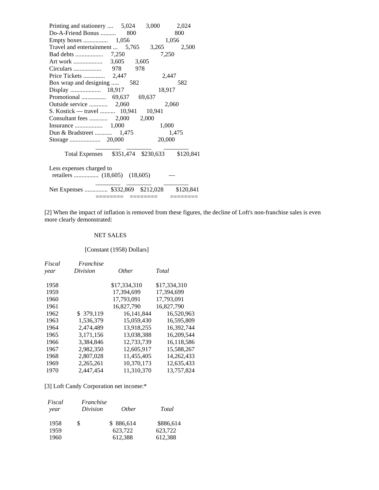| 3,000<br>Printing and stationery  5,024     | 2,024     |
|---------------------------------------------|-----------|
| Do-A-Friend Bonus<br>800                    | 800       |
|                                             | 1,056     |
| Travel and entertainment  5,765 3,265 2,500 |           |
| 7,250                                       |           |
|                                             |           |
|                                             |           |
| 2,447                                       |           |
| Box wrap and designing  582                 | 582       |
| 18,917                                      |           |
|                                             |           |
| 2,060                                       |           |
| S. Kostick — travel  10,941 10,941          |           |
| 2,000                                       |           |
| 1,000                                       |           |
|                                             | 1,475     |
| 20,000                                      |           |
|                                             |           |
| Total Expenses \$351,474 \$230,633          | \$120,841 |
|                                             |           |
| Less expenses charged to                    |           |
|                                             |           |
|                                             |           |
| Net Expenses  \$332,869 \$212,028           | \$120,841 |
|                                             |           |

[2] When the impact of inflation is removed from these figures, the decline of Loft's non-franchise sales is even more clearly demonstrated:

#### NET SALES

#### [Constant (1958) Dollars]

| Fiscal<br>vear | Franchise<br>Division | <i>Other</i> | Total        |
|----------------|-----------------------|--------------|--------------|
|                |                       |              |              |
| 1958           |                       | \$17.334.310 | \$17.334.310 |
| 1959           |                       | 17,394,699   | 17,394,699   |
| 1960           |                       | 17.793.091   | 17.793.091   |
| 1961           |                       | 16,827,790   | 16,827,790   |
| 1962           | \$379.119             | 16.141.844   | 16,520,963   |
| 1963           | 1.536.379             | 15.059.430   | 16.595.809   |
| 1964           | 2.474.489             | 13.918.255   | 16,392,744   |
| 1965           | 3,171,156             | 13,038,388   | 16,209,544   |
| 1966           | 3.384.846             | 12,733,739   | 16,118,586   |
| 1967           | 2,982,350             | 12,605,917   | 15,588,267   |
| 1968           | 2,807,028             | 11,455,405   | 14,262,433   |
| 1969           | 2,265,261             | 10,370,173   | 12,635,433   |
| 1970           | 2.447.454             | 11.310.370   | 13,757,824   |
|                |                       |              |              |

## [3] Loft Candy Corporation net income:\*

| Fiscal<br>year | Franchise<br>Division | <i>Other</i> | Total     |
|----------------|-----------------------|--------------|-----------|
| 1958           | S                     | \$886,614    | \$886,614 |
| 1959           |                       | 623.722      | 623.722   |
| 1960           |                       | 612,388      | 612,388   |